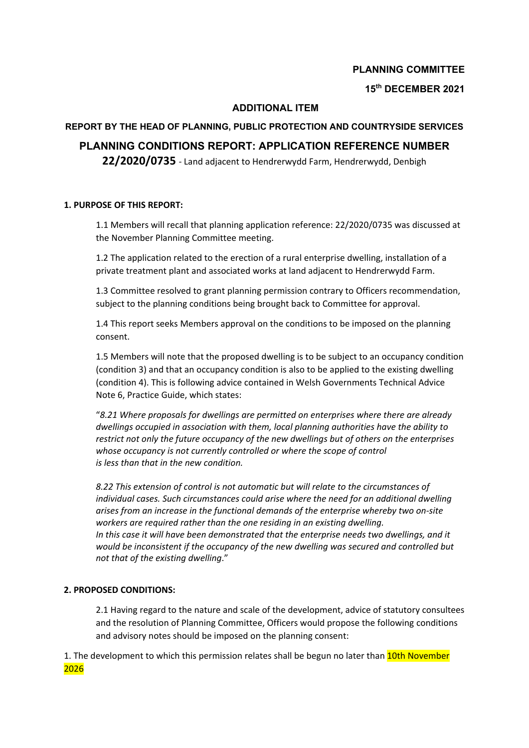# **PLANNING COMMITTEE**

# **15th DECEMBER 2021**

### **ADDITIONAL ITEM**

# **REPORT BY THE HEAD OF PLANNING, PUBLIC PROTECTION AND COUNTRYSIDE SERVICES**

# **PLANNING CONDITIONS REPORT: APPLICATION REFERENCE NUMBER 22/2020/0735** ‐ Land adjacent to Hendrerwydd Farm, Hendrerwydd, Denbigh

### **1. PURPOSE OF THIS REPORT:**

1.1 Members will recall that planning application reference: 22/2020/0735 was discussed at the November Planning Committee meeting.

1.2 The application related to the erection of a rural enterprise dwelling, installation of a private treatment plant and associated works at land adjacent to Hendrerwydd Farm.

1.3 Committee resolved to grant planning permission contrary to Officers recommendation, subject to the planning conditions being brought back to Committee for approval.

1.4 This report seeks Members approval on the conditions to be imposed on the planning consent.

1.5 Members will note that the proposed dwelling is to be subject to an occupancy condition (condition 3) and that an occupancy condition is also to be applied to the existing dwelling (condition 4). This is following advice contained in Welsh Governments Technical Advice Note 6, Practice Guide, which states:

"*8.21 Where proposals for dwellings are permitted on enterprises where there are already dwellings occupied in association with them, local planning authorities have the ability to restrict not only the future occupancy of the new dwellings but of others on the enterprises whose occupancy is not currently controlled or where the scope of control is less than that in the new condition.*

*8.22 This extension of control is not automatic but will relate to the circumstances of individual cases. Such circumstances could arise where the need for an additional dwelling arises from an increase in the functional demands of the enterprise whereby two on‐site workers are required rather than the one residing in an existing dwelling. In this case it will have been demonstrated that the enterprise needs two dwellings, and it would be inconsistent if the occupancy of the new dwelling was secured and controlled but not that of the existing dwelling*."

### **2. PROPOSED CONDITIONS:**

2.1 Having regard to the nature and scale of the development, advice of statutory consultees and the resolution of Planning Committee, Officers would propose the following conditions and advisory notes should be imposed on the planning consent:

1. The development to which this permission relates shall be begun no later than 10th November 2026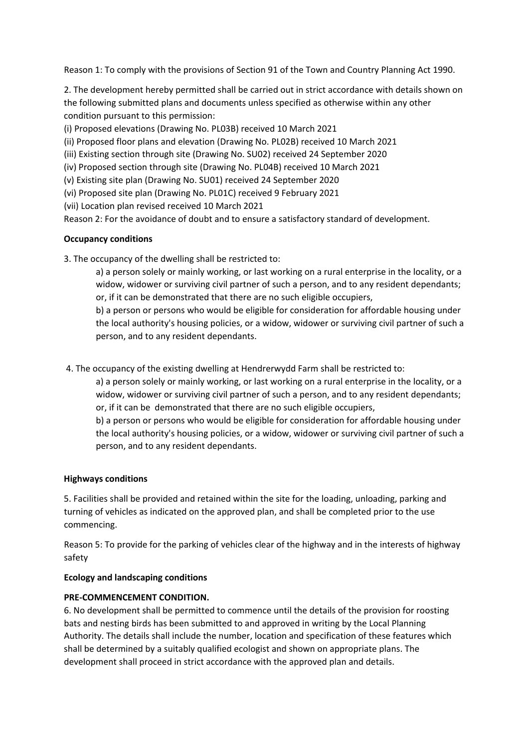Reason 1: To comply with the provisions of Section 91 of the Town and Country Planning Act 1990.

2. The development hereby permitted shall be carried out in strict accordance with details shown on the following submitted plans and documents unless specified as otherwise within any other condition pursuant to this permission:

(i) Proposed elevations (Drawing No. PL03B) received 10 March 2021

(ii) Proposed floor plans and elevation (Drawing No. PL02B) received 10 March 2021

(iii) Existing section through site (Drawing No. SU02) received 24 September 2020

(iv) Proposed section through site (Drawing No. PL04B) received 10 March 2021

(v) Existing site plan (Drawing No. SU01) received 24 September 2020

(vi) Proposed site plan (Drawing No. PL01C) received 9 February 2021

(vii) Location plan revised received 10 March 2021

Reason 2: For the avoidance of doubt and to ensure a satisfactory standard of development.

# **Occupancy conditions**

3. The occupancy of the dwelling shall be restricted to:

a) a person solely or mainly working, or last working on a rural enterprise in the locality, or a widow, widower or surviving civil partner of such a person, and to any resident dependants; or, if it can be demonstrated that there are no such eligible occupiers,

b) a person or persons who would be eligible for consideration for affordable housing under the local authority's housing policies, or a widow, widower or surviving civil partner of such a person, and to any resident dependants.

4. The occupancy of the existing dwelling at Hendrerwydd Farm shall be restricted to:

a) a person solely or mainly working, or last working on a rural enterprise in the locality, or a widow, widower or surviving civil partner of such a person, and to any resident dependants; or, if it can be demonstrated that there are no such eligible occupiers,

b) a person or persons who would be eligible for consideration for affordable housing under the local authority's housing policies, or a widow, widower or surviving civil partner of such a person, and to any resident dependants.

### **Highways conditions**

5. Facilities shall be provided and retained within the site for the loading, unloading, parking and turning of vehicles as indicated on the approved plan, and shall be completed prior to the use commencing.

Reason 5: To provide for the parking of vehicles clear of the highway and in the interests of highway safety

### **Ecology and landscaping conditions**

# **PRE‐COMMENCEMENT CONDITION.**

6. No development shall be permitted to commence until the details of the provision for roosting bats and nesting birds has been submitted to and approved in writing by the Local Planning Authority. The details shall include the number, location and specification of these features which shall be determined by a suitably qualified ecologist and shown on appropriate plans. The development shall proceed in strict accordance with the approved plan and details.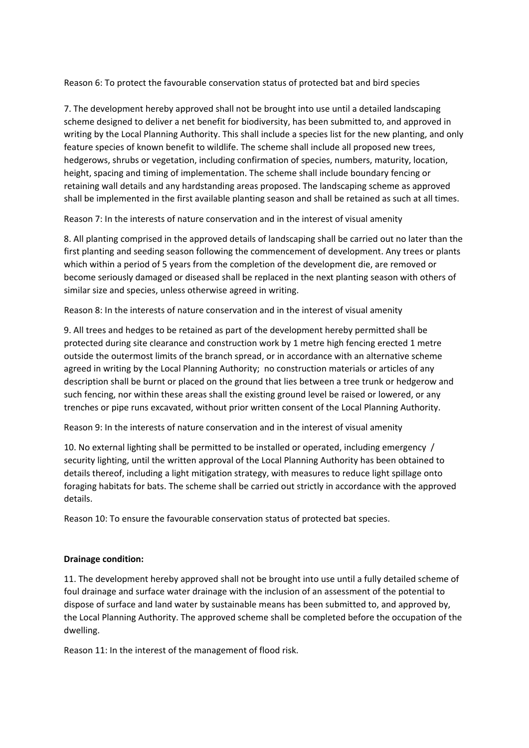Reason 6: To protect the favourable conservation status of protected bat and bird species

7. The development hereby approved shall not be brought into use until a detailed landscaping scheme designed to deliver a net benefit for biodiversity, has been submitted to, and approved in writing by the Local Planning Authority. This shall include a species list for the new planting, and only feature species of known benefit to wildlife. The scheme shall include all proposed new trees, hedgerows, shrubs or vegetation, including confirmation of species, numbers, maturity, location, height, spacing and timing of implementation. The scheme shall include boundary fencing or retaining wall details and any hardstanding areas proposed. The landscaping scheme as approved shall be implemented in the first available planting season and shall be retained as such at all times.

Reason 7: In the interests of nature conservation and in the interest of visual amenity

8. All planting comprised in the approved details of landscaping shall be carried out no later than the first planting and seeding season following the commencement of development. Any trees or plants which within a period of 5 years from the completion of the development die, are removed or become seriously damaged or diseased shall be replaced in the next planting season with others of similar size and species, unless otherwise agreed in writing.

Reason 8: In the interests of nature conservation and in the interest of visual amenity

9. All trees and hedges to be retained as part of the development hereby permitted shall be protected during site clearance and construction work by 1 metre high fencing erected 1 metre outside the outermost limits of the branch spread, or in accordance with an alternative scheme agreed in writing by the Local Planning Authority; no construction materials or articles of any description shall be burnt or placed on the ground that lies between a tree trunk or hedgerow and such fencing, nor within these areas shall the existing ground level be raised or lowered, or any trenches or pipe runs excavated, without prior written consent of the Local Planning Authority.

Reason 9: In the interests of nature conservation and in the interest of visual amenity

10. No external lighting shall be permitted to be installed or operated, including emergency / security lighting, until the written approval of the Local Planning Authority has been obtained to details thereof, including a light mitigation strategy, with measures to reduce light spillage onto foraging habitats for bats. The scheme shall be carried out strictly in accordance with the approved details.

Reason 10: To ensure the favourable conservation status of protected bat species.

### **Drainage condition:**

11. The development hereby approved shall not be brought into use until a fully detailed scheme of foul drainage and surface water drainage with the inclusion of an assessment of the potential to dispose of surface and land water by sustainable means has been submitted to, and approved by, the Local Planning Authority. The approved scheme shall be completed before the occupation of the dwelling.

Reason 11: In the interest of the management of flood risk.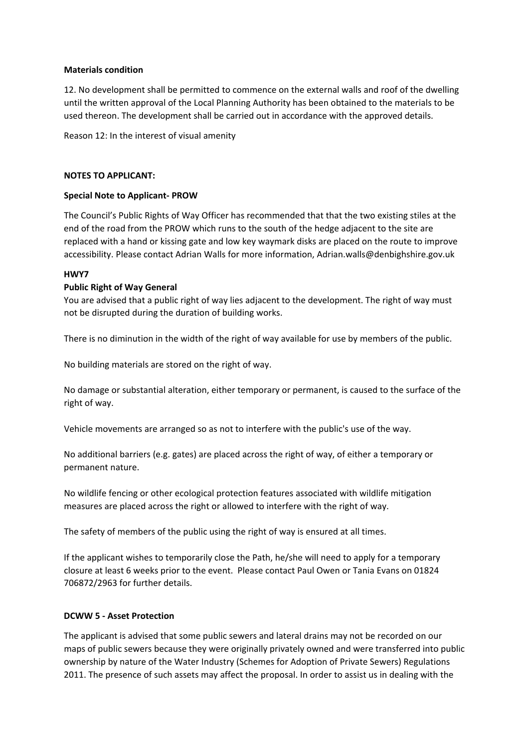### **Materials condition**

12. No development shall be permitted to commence on the external walls and roof of the dwelling until the written approval of the Local Planning Authority has been obtained to the materials to be used thereon. The development shall be carried out in accordance with the approved details.

Reason 12: In the interest of visual amenity

#### **NOTES TO APPLICANT:**

#### **Special Note to Applicant‐ PROW**

The Council's Public Rights of Way Officer has recommended that that the two existing stiles at the end of the road from the PROW which runs to the south of the hedge adjacent to the site are replaced with a hand or kissing gate and low key waymark disks are placed on the route to improve accessibility. Please contact Adrian Walls for more information, Adrian.walls@denbighshire.gov.uk

#### **HWY7**

### **Public Right of Way General**

You are advised that a public right of way lies adjacent to the development. The right of way must not be disrupted during the duration of building works.

There is no diminution in the width of the right of way available for use by members of the public.

No building materials are stored on the right of way.

No damage or substantial alteration, either temporary or permanent, is caused to the surface of the right of way.

Vehicle movements are arranged so as not to interfere with the public's use of the way.

No additional barriers (e.g. gates) are placed across the right of way, of either a temporary or permanent nature.

No wildlife fencing or other ecological protection features associated with wildlife mitigation measures are placed across the right or allowed to interfere with the right of way.

The safety of members of the public using the right of way is ensured at all times.

If the applicant wishes to temporarily close the Path, he/she will need to apply for a temporary closure at least 6 weeks prior to the event. Please contact Paul Owen or Tania Evans on 01824 706872/2963 for further details.

### **DCWW 5 ‐ Asset Protection**

The applicant is advised that some public sewers and lateral drains may not be recorded on our maps of public sewers because they were originally privately owned and were transferred into public ownership by nature of the Water Industry (Schemes for Adoption of Private Sewers) Regulations 2011. The presence of such assets may affect the proposal. In order to assist us in dealing with the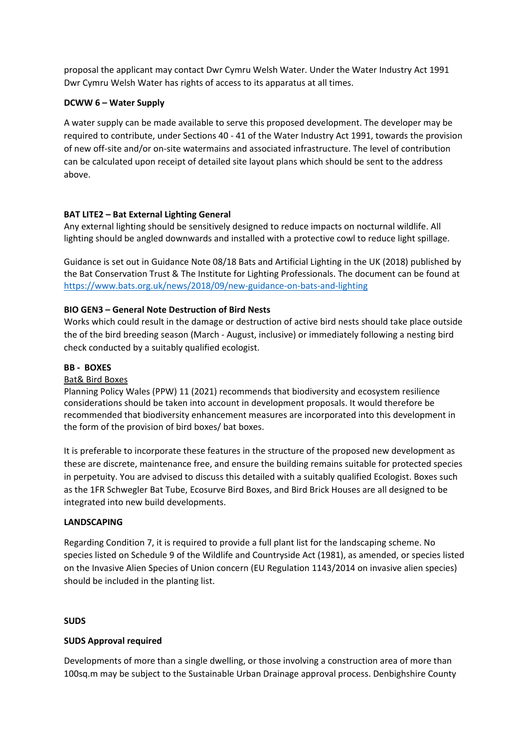proposal the applicant may contact Dwr Cymru Welsh Water. Under the Water Industry Act 1991 Dwr Cymru Welsh Water has rights of access to its apparatus at all times.

# **DCWW 6 – Water Supply**

A water supply can be made available to serve this proposed development. The developer may be required to contribute, under Sections 40 ‐ 41 of the Water Industry Act 1991, towards the provision of new off‐site and/or on‐site watermains and associated infrastructure. The level of contribution can be calculated upon receipt of detailed site layout plans which should be sent to the address above.

# **BAT LITE2 – Bat External Lighting General**

Any external lighting should be sensitively designed to reduce impacts on nocturnal wildlife. All lighting should be angled downwards and installed with a protective cowl to reduce light spillage.

Guidance is set out in Guidance Note 08/18 Bats and Artificial Lighting in the UK (2018) published by the Bat Conservation Trust & The Institute for Lighting Professionals. The document can be found at https://www.bats.org.uk/news/2018/09/new-guidance-on-bats-and-lighting

# **BIO GEN3 – General Note Destruction of Bird Nests**

Works which could result in the damage or destruction of active bird nests should take place outside the of the bird breeding season (March ‐ August, inclusive) or immediately following a nesting bird check conducted by a suitably qualified ecologist.

### **BB ‐ BOXES**

### Bat& Bird Boxes

Planning Policy Wales (PPW) 11 (2021) recommends that biodiversity and ecosystem resilience considerations should be taken into account in development proposals. It would therefore be recommended that biodiversity enhancement measures are incorporated into this development in the form of the provision of bird boxes/ bat boxes.

It is preferable to incorporate these features in the structure of the proposed new development as these are discrete, maintenance free, and ensure the building remains suitable for protected species in perpetuity. You are advised to discuss this detailed with a suitably qualified Ecologist. Boxes such as the 1FR Schwegler Bat Tube, Ecosurve Bird Boxes, and Bird Brick Houses are all designed to be integrated into new build developments.

### **LANDSCAPING**

Regarding Condition 7, it is required to provide a full plant list for the landscaping scheme. No species listed on Schedule 9 of the Wildlife and Countryside Act (1981), as amended, or species listed on the Invasive Alien Species of Union concern (EU Regulation 1143/2014 on invasive alien species) should be included in the planting list.

### **SUDS**

### **SUDS Approval required**

Developments of more than a single dwelling, or those involving a construction area of more than 100sq.m may be subject to the Sustainable Urban Drainage approval process. Denbighshire County